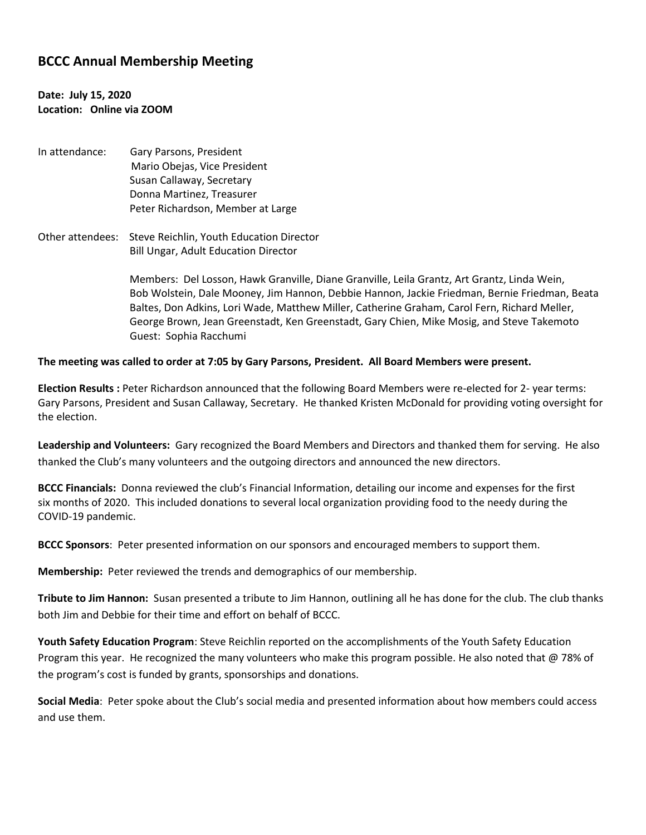# **BCCC Annual Membership Meeting**

## **Date: July 15, 2020 Location: Online via ZOOM**

- In attendance: Gary Parsons, President Mario Obejas, Vice President Susan Callaway, Secretary Donna Martinez, Treasurer Peter Richardson, Member at Large
- Other attendees: Steve Reichlin, Youth Education Director Bill Ungar, Adult Education Director

Members: Del Losson, Hawk Granville, Diane Granville, Leila Grantz, Art Grantz, Linda Wein, Bob Wolstein, Dale Mooney, Jim Hannon, Debbie Hannon, Jackie Friedman, Bernie Friedman, Beata Baltes, Don Adkins, Lori Wade, Matthew Miller, Catherine Graham, Carol Fern, Richard Meller, George Brown, Jean Greenstadt, Ken Greenstadt, Gary Chien, Mike Mosig, and Steve Takemoto Guest: Sophia Racchumi

#### **The meeting was called to order at 7:05 by Gary Parsons, President. All Board Members were present.**

**Election Results :** Peter Richardson announced that the following Board Members were re-elected for 2- year terms: Gary Parsons, President and Susan Callaway, Secretary. He thanked Kristen McDonald for providing voting oversight for the election.

**Leadership and Volunteers:** Gary recognized the Board Members and Directors and thanked them for serving. He also thanked the Club's many volunteers and the outgoing directors and announced the new directors.

**BCCC Financials:** Donna reviewed the club's Financial Information, detailing our income and expenses for the first six months of 2020. This included donations to several local organization providing food to the needy during the COVID-19 pandemic.

**BCCC Sponsors**: Peter presented information on our sponsors and encouraged members to support them.

**Membership:** Peter reviewed the trends and demographics of our membership.

**Tribute to Jim Hannon:** Susan presented a tribute to Jim Hannon, outlining all he has done for the club. The club thanks both Jim and Debbie for their time and effort on behalf of BCCC.

**Youth Safety Education Program**: Steve Reichlin reported on the accomplishments of the Youth Safety Education Program this year. He recognized the many volunteers who make this program possible. He also noted that @ 78% of the program's cost is funded by grants, sponsorships and donations.

**Social Media**: Peter spoke about the Club's social media and presented information about how members could access and use them.